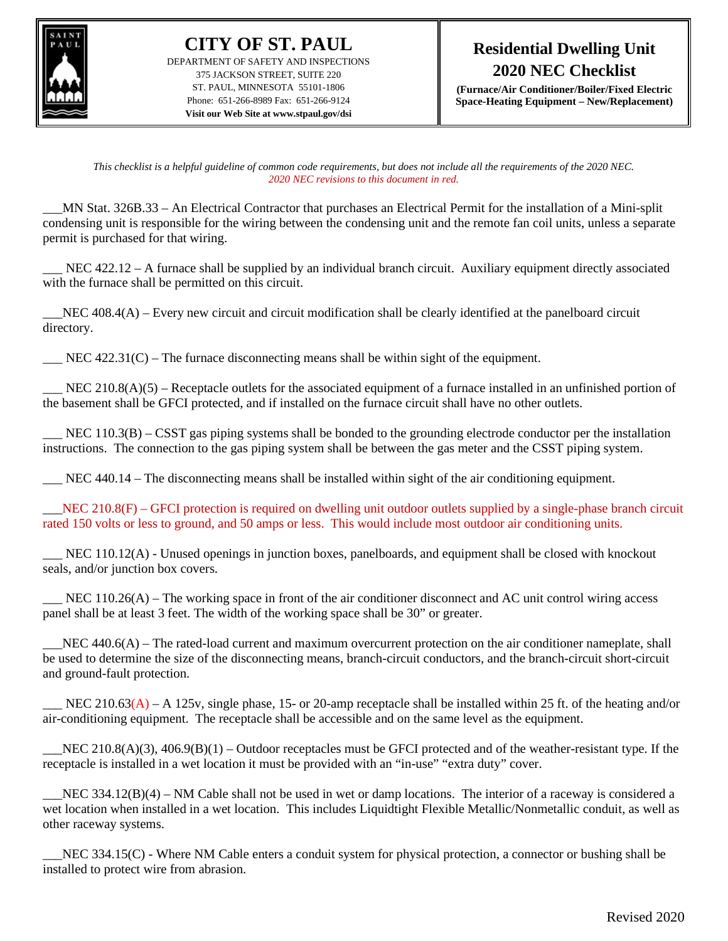

**CITY OF ST. PAUL** DEPARTMENT OF SAFETY AND INSPECTIONS 375 JACKSON STREET, SUITE 220 ST. PAUL, MINNESOTA 55101-1806 Phone: 651-266-8989 Fax: 651-266-9124 **Visit our Web Site at www.stpaul.gov/dsi**

**(Furnace/Air Conditioner/Boiler/Fixed Electric Space-Heating Equipment – New/Replacement)**

*This checklist is a helpful guideline of common code requirements, but does not include all the requirements of the 2020 NEC. 2020 NEC revisions to this document in red.*

\_\_\_MN Stat. 326B.33 – An Electrical Contractor that purchases an Electrical Permit for the installation of a Mini-split condensing unit is responsible for the wiring between the condensing unit and the remote fan coil units, unless a separate permit is purchased for that wiring.

NEC  $422.12 - A$  furnace shall be supplied by an individual branch circuit. Auxiliary equipment directly associated with the furnace shall be permitted on this circuit.

 $\_NEC$  408.4(A) – Every new circuit and circuit modification shall be clearly identified at the panelboard circuit directory.

 $\text{NEC } 422.31(\text{C})$  – The furnace disconnecting means shall be within sight of the equipment.

NEC 210.8(A)(5) – Receptacle outlets for the associated equipment of a furnace installed in an unfinished portion of the basement shall be GFCI protected, and if installed on the furnace circuit shall have no other outlets.

NEC  $110.3(B) - C SST$  gas piping systems shall be bonded to the grounding electrode conductor per the installation instructions. The connection to the gas piping system shall be between the gas meter and the CSST piping system.

NEC 440.14 – The disconnecting means shall be installed within sight of the air conditioning equipment.

 $\text{NEC } 210.8(F) - \text{GFCI protection is required on dwelling unit outdoor outlets supplied by a single-phase branch circuit}$ rated 150 volts or less to ground, and 50 amps or less. This would include most outdoor air conditioning units.

\_\_\_ NEC 110.12(A) - Unused openings in junction boxes, panelboards, and equipment shall be closed with knockout seals, and/or junction box covers.

 $\Sigma$  NEC 110.26(A) – The working space in front of the air conditioner disconnect and AC unit control wiring access panel shall be at least 3 feet. The width of the working space shall be 30" or greater.

 $\_NEC$  440.6(A) – The rated-load current and maximum overcurrent protection on the air conditioner nameplate, shall be used to determine the size of the disconnecting means, branch-circuit conductors, and the branch-circuit short-circuit and ground-fault protection.

NEC 210.63(A) – A 125v, single phase, 15- or 20-amp receptacle shall be installed within 25 ft. of the heating and/or air-conditioning equipment. The receptacle shall be accessible and on the same level as the equipment.

NEC 210.8(A)(3),  $406.9(B)(1)$  – Outdoor receptacles must be GFCI protected and of the weather-resistant type. If the receptacle is installed in a wet location it must be provided with an "in-use" "extra duty" cover.

 $\_NEC$  334.12(B)(4) – NM Cable shall not be used in wet or damp locations. The interior of a raceway is considered a wet location when installed in a wet location. This includes Liquidtight Flexible Metallic/Nonmetallic conduit, as well as other raceway systems.

NEC 334.15(C) - Where NM Cable enters a conduit system for physical protection, a connector or bushing shall be installed to protect wire from abrasion.